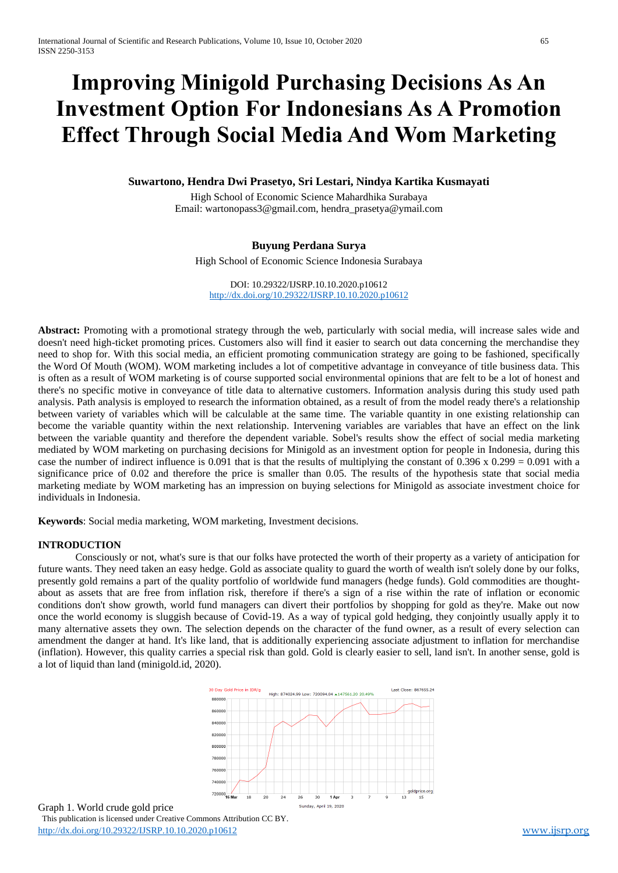# **Improving Minigold Purchasing Decisions As An Investment Option For Indonesians As A Promotion Effect Through Social Media And Wom Marketing**

## **Suwartono, Hendra Dwi Prasetyo, Sri Lestari, Nindya Kartika Kusmayati**

High School of Economic Science Mahardhika Surabaya Email: wartonopass3@gmail.com, hendra\_prasetya@ymail.com

## **Buyung Perdana Surya**

High School of Economic Science Indonesia Surabaya

DOI: 10.29322/IJSRP.10.10.2020.p10612 <http://dx.doi.org/10.29322/IJSRP.10.10.2020.p10612>

**Abstract:** Promoting with a promotional strategy through the web, particularly with social media, will increase sales wide and doesn't need high-ticket promoting prices. Customers also will find it easier to search out data concerning the merchandise they need to shop for. With this social media, an efficient promoting communication strategy are going to be fashioned, specifically the Word Of Mouth (WOM). WOM marketing includes a lot of competitive advantage in conveyance of title business data. This is often as a result of WOM marketing is of course supported social environmental opinions that are felt to be a lot of honest and there's no specific motive in conveyance of title data to alternative customers. Information analysis during this study used path analysis. Path analysis is employed to research the information obtained, as a result of from the model ready there's a relationship between variety of variables which will be calculable at the same time. The variable quantity in one existing relationship can become the variable quantity within the next relationship. Intervening variables are variables that have an effect on the link between the variable quantity and therefore the dependent variable. Sobel's results show the effect of social media marketing mediated by WOM marketing on purchasing decisions for Minigold as an investment option for people in Indonesia, during this case the number of indirect influence is 0.091 that is that the results of multiplying the constant of 0.396 x 0.299 = 0.091 with a significance price of 0.02 and therefore the price is smaller than 0.05. The results of the hypothesis state that social media marketing mediate by WOM marketing has an impression on buying selections for Minigold as associate investment choice for individuals in Indonesia.

**Keywords**: Social media marketing, WOM marketing, Investment decisions.

#### **INTRODUCTION**

Consciously or not, what's sure is that our folks have protected the worth of their property as a variety of anticipation for future wants. They need taken an easy hedge. Gold as associate quality to guard the worth of wealth isn't solely done by our folks, presently gold remains a part of the quality portfolio of worldwide fund managers (hedge funds). Gold commodities are thoughtabout as assets that are free from inflation risk, therefore if there's a sign of a rise within the rate of inflation or economic conditions don't show growth, world fund managers can divert their portfolios by shopping for gold as they're. Make out now once the world economy is sluggish because of Covid-19. As a way of typical gold hedging, they conjointly usually apply it to many alternative assets they own. The selection depends on the character of the fund owner, as a result of every selection can amendment the danger at hand. It's like land, that is additionally experiencing associate adjustment to inflation for merchandise (inflation). However, this quality carries a special risk than gold. Gold is clearly easier to sell, land isn't. In another sense, gold is a lot of liquid than land (minigold.id, 2020).



 This publication is licensed under Creative Commons Attribution CC BY. <http://dx.doi.org/10.29322/IJSRP.10.10.2020.p10612> [www.ijsrp.org](http://ijsrp.org/) Graph 1. World crude gold price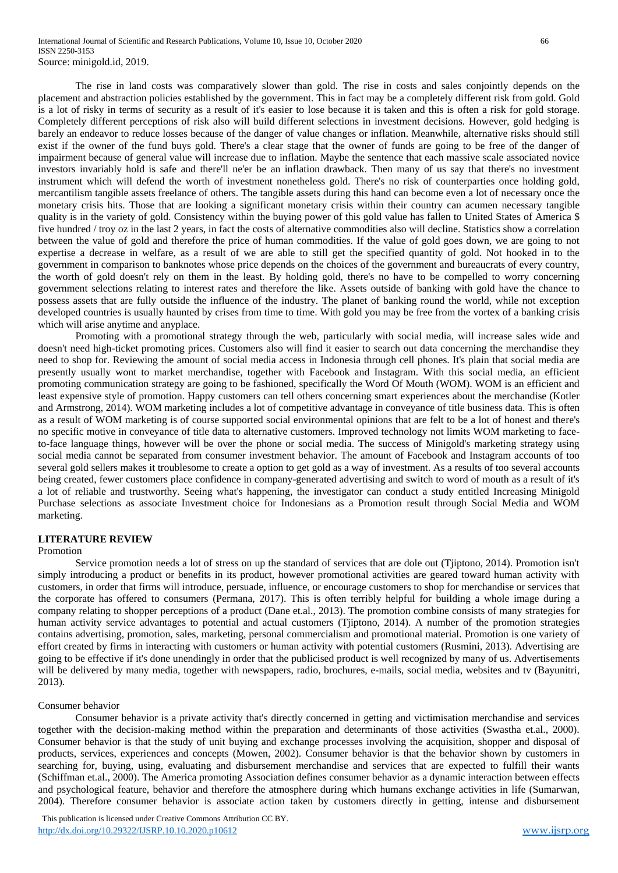The rise in land costs was comparatively slower than gold. The rise in costs and sales conjointly depends on the placement and abstraction policies established by the government. This in fact may be a completely different risk from gold. Gold is a lot of risky in terms of security as a result of it's easier to lose because it is taken and this is often a risk for gold storage. Completely different perceptions of risk also will build different selections in investment decisions. However, gold hedging is barely an endeavor to reduce losses because of the danger of value changes or inflation. Meanwhile, alternative risks should still exist if the owner of the fund buys gold. There's a clear stage that the owner of funds are going to be free of the danger of impairment because of general value will increase due to inflation. Maybe the sentence that each massive scale associated novice investors invariably hold is safe and there'll ne'er be an inflation drawback. Then many of us say that there's no investment instrument which will defend the worth of investment nonetheless gold. There's no risk of counterparties once holding gold, mercantilism tangible assets freelance of others. The tangible assets during this hand can become even a lot of necessary once the monetary crisis hits. Those that are looking a significant monetary crisis within their country can acumen necessary tangible quality is in the variety of gold. Consistency within the buying power of this gold value has fallen to United States of America \$ five hundred / troy oz in the last 2 years, in fact the costs of alternative commodities also will decline. Statistics show a correlation between the value of gold and therefore the price of human commodities. If the value of gold goes down, we are going to not expertise a decrease in welfare, as a result of we are able to still get the specified quantity of gold. Not hooked in to the government in comparison to banknotes whose price depends on the choices of the government and bureaucrats of every country, the worth of gold doesn't rely on them in the least. By holding gold, there's no have to be compelled to worry concerning government selections relating to interest rates and therefore the like. Assets outside of banking with gold have the chance to possess assets that are fully outside the influence of the industry. The planet of banking round the world, while not exception developed countries is usually haunted by crises from time to time. With gold you may be free from the vortex of a banking crisis which will arise anytime and anyplace.

Promoting with a promotional strategy through the web, particularly with social media, will increase sales wide and doesn't need high-ticket promoting prices. Customers also will find it easier to search out data concerning the merchandise they need to shop for. Reviewing the amount of social media access in Indonesia through cell phones. It's plain that social media are presently usually wont to market merchandise, together with Facebook and Instagram. With this social media, an efficient promoting communication strategy are going to be fashioned, specifically the Word Of Mouth (WOM). WOM is an efficient and least expensive style of promotion. Happy customers can tell others concerning smart experiences about the merchandise (Kotler and Armstrong, 2014). WOM marketing includes a lot of competitive advantage in conveyance of title business data. This is often as a result of WOM marketing is of course supported social environmental opinions that are felt to be a lot of honest and there's no specific motive in conveyance of title data to alternative customers. Improved technology not limits WOM marketing to faceto-face language things, however will be over the phone or social media. The success of Minigold's marketing strategy using social media cannot be separated from consumer investment behavior. The amount of Facebook and Instagram accounts of too several gold sellers makes it troublesome to create a option to get gold as a way of investment. As a results of too several accounts being created, fewer customers place confidence in company-generated advertising and switch to word of mouth as a result of it's a lot of reliable and trustworthy. Seeing what's happening, the investigator can conduct a study entitled Increasing Minigold Purchase selections as associate Investment choice for Indonesians as a Promotion result through Social Media and WOM marketing.

## **LITERATURE REVIEW**

#### Promotion

Service promotion needs a lot of stress on up the standard of services that are dole out (Tjiptono, 2014). Promotion isn't simply introducing a product or benefits in its product, however promotional activities are geared toward human activity with customers, in order that firms will introduce, persuade, influence, or encourage customers to shop for merchandise or services that the corporate has offered to consumers (Permana, 2017). This is often terribly helpful for building a whole image during a company relating to shopper perceptions of a product (Dane et.al., 2013). The promotion combine consists of many strategies for human activity service advantages to potential and actual customers (Tjiptono, 2014). A number of the promotion strategies contains advertising, promotion, sales, marketing, personal commercialism and promotional material. Promotion is one variety of effort created by firms in interacting with customers or human activity with potential customers (Rusmini, 2013). Advertising are going to be effective if it's done unendingly in order that the publicised product is well recognized by many of us. Advertisements will be delivered by many media, together with newspapers, radio, brochures, e-mails, social media, websites and tv (Bayunitri, 2013).

#### Consumer behavior

Consumer behavior is a private activity that's directly concerned in getting and victimisation merchandise and services together with the decision-making method within the preparation and determinants of those activities (Swastha et.al., 2000). Consumer behavior is that the study of unit buying and exchange processes involving the acquisition, shopper and disposal of products, services, experiences and concepts (Mowen, 2002). Consumer behavior is that the behavior shown by customers in searching for, buying, using, evaluating and disbursement merchandise and services that are expected to fulfill their wants (Schiffman et.al., 2000). The America promoting Association defines consumer behavior as a dynamic interaction between effects and psychological feature, behavior and therefore the atmosphere during which humans exchange activities in life (Sumarwan, 2004). Therefore consumer behavior is associate action taken by customers directly in getting, intense and disbursement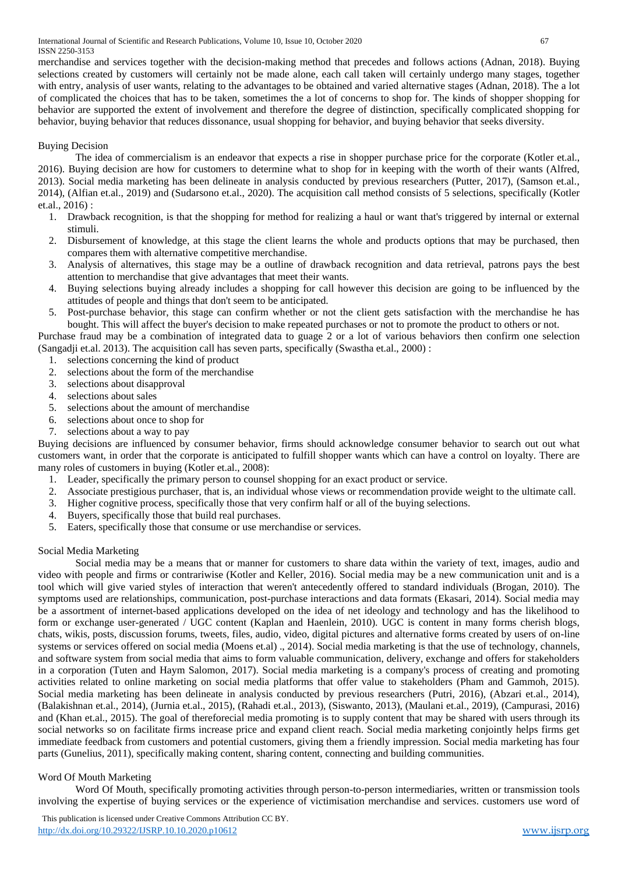International Journal of Scientific and Research Publications, Volume 10, Issue 10, October 2020 67 ISSN 2250-3153

merchandise and services together with the decision-making method that precedes and follows actions (Adnan, 2018). Buying selections created by customers will certainly not be made alone, each call taken will certainly undergo many stages, together with entry, analysis of user wants, relating to the advantages to be obtained and varied alternative stages (Adnan, 2018). The a lot of complicated the choices that has to be taken, sometimes the a lot of concerns to shop for. The kinds of shopper shopping for behavior are supported the extent of involvement and therefore the degree of distinction, specifically complicated shopping for behavior, buying behavior that reduces dissonance, usual shopping for behavior, and buying behavior that seeks diversity.

### Buying Decision

The idea of commercialism is an endeavor that expects a rise in shopper purchase price for the corporate (Kotler et.al., 2016). Buying decision are how for customers to determine what to shop for in keeping with the worth of their wants (Alfred, 2013). Social media marketing has been delineate in analysis conducted by previous researchers (Putter, 2017), (Samson et.al., 2014), (Alfian et.al., 2019) and (Sudarsono et.al., 2020). The acquisition call method consists of 5 selections, specifically (Kotler et.al., 2016) :

- 1. Drawback recognition, is that the shopping for method for realizing a haul or want that's triggered by internal or external stimuli.
- 2. Disbursement of knowledge, at this stage the client learns the whole and products options that may be purchased, then compares them with alternative competitive merchandise.
- 3. Analysis of alternatives, this stage may be a outline of drawback recognition and data retrieval, patrons pays the best attention to merchandise that give advantages that meet their wants.
- 4. Buying selections buying already includes a shopping for call however this decision are going to be influenced by the attitudes of people and things that don't seem to be anticipated.
- 5. Post-purchase behavior, this stage can confirm whether or not the client gets satisfaction with the merchandise he has bought. This will affect the buyer's decision to make repeated purchases or not to promote the product to others or not.

Purchase fraud may be a combination of integrated data to guage 2 or a lot of various behaviors then confirm one selection (Sangadji et.al. 2013). The acquisition call has seven parts, specifically (Swastha et.al., 2000) :

- 1. selections concerning the kind of product
- 2. selections about the form of the merchandise
- 3. selections about disapproval
- 4. selections about sales
- 5. selections about the amount of merchandise
- 6. selections about once to shop for
- 7. selections about a way to pay

Buying decisions are influenced by consumer behavior, firms should acknowledge consumer behavior to search out out what customers want, in order that the corporate is anticipated to fulfill shopper wants which can have a control on loyalty. There are many roles of customers in buying (Kotler et.al., 2008):

- 1. Leader, specifically the primary person to counsel shopping for an exact product or service.
- 2. Associate prestigious purchaser, that is, an individual whose views or recommendation provide weight to the ultimate call.
- 3. Higher cognitive process, specifically those that very confirm half or all of the buying selections.
- 4. Buyers, specifically those that build real purchases.
- 5. Eaters, specifically those that consume or use merchandise or services.

#### Social Media Marketing

Social media may be a means that or manner for customers to share data within the variety of text, images, audio and video with people and firms or contrariwise (Kotler and Keller, 2016). Social media may be a new communication unit and is a tool which will give varied styles of interaction that weren't antecedently offered to standard individuals (Brogan, 2010). The symptoms used are relationships, communication, post-purchase interactions and data formats (Ekasari, 2014). Social media may be a assortment of internet-based applications developed on the idea of net ideology and technology and has the likelihood to form or exchange user-generated / UGC content (Kaplan and Haenlein, 2010). UGC is content in many forms cherish blogs, chats, wikis, posts, discussion forums, tweets, files, audio, video, digital pictures and alternative forms created by users of on-line systems or services offered on social media (Moens et.al) ., 2014). Social media marketing is that the use of technology, channels, and software system from social media that aims to form valuable communication, delivery, exchange and offers for stakeholders in a corporation (Tuten and Haym Salomon, 2017). Social media marketing is a company's process of creating and promoting activities related to online marketing on social media platforms that offer value to stakeholders (Pham and Gammoh, 2015). Social media marketing has been delineate in analysis conducted by previous researchers (Putri, 2016), (Abzari et.al., 2014), (Balakishnan et.al., 2014), (Jurnia et.al., 2015), (Rahadi et.al., 2013), (Siswanto, 2013), (Maulani et.al., 2019), (Campurasi, 2016) and (Khan et.al., 2015). The goal of thereforecial media promoting is to supply content that may be shared with users through its social networks so on facilitate firms increase price and expand client reach. Social media marketing conjointly helps firms get immediate feedback from customers and potential customers, giving them a friendly impression. Social media marketing has four parts (Gunelius, 2011), specifically making content, sharing content, connecting and building communities.

## Word Of Mouth Marketing

Word Of Mouth, specifically promoting activities through person-to-person intermediaries, written or transmission tools involving the expertise of buying services or the experience of victimisation merchandise and services. customers use word of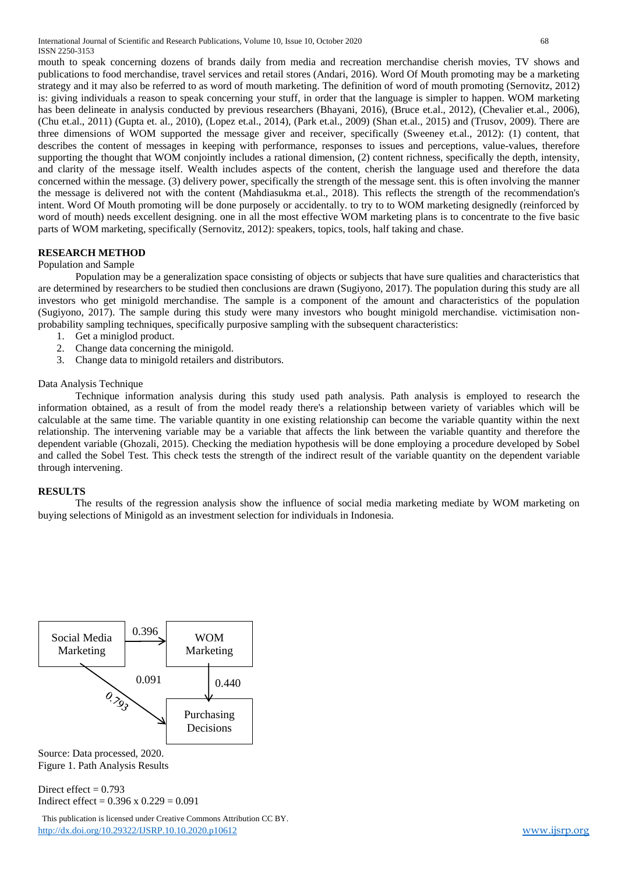International Journal of Scientific and Research Publications, Volume 10, Issue 10, October 2020 68 ISSN 2250-3153

mouth to speak concerning dozens of brands daily from media and recreation merchandise cherish movies, TV shows and publications to food merchandise, travel services and retail stores (Andari, 2016). Word Of Mouth promoting may be a marketing strategy and it may also be referred to as word of mouth marketing. The definition of word of mouth promoting (Sernovitz, 2012) is: giving individuals a reason to speak concerning your stuff, in order that the language is simpler to happen. WOM marketing has been delineate in analysis conducted by previous researchers (Bhayani, 2016), (Bruce et.al., 2012), (Chevalier et.al., 2006), (Chu et.al., 2011) (Gupta et. al., 2010), (Lopez et.al., 2014), (Park et.al., 2009) (Shan et.al., 2015) and (Trusov, 2009). There are three dimensions of WOM supported the message giver and receiver, specifically (Sweeney et.al., 2012): (1) content, that describes the content of messages in keeping with performance, responses to issues and perceptions, value-values, therefore supporting the thought that WOM conjointly includes a rational dimension, (2) content richness, specifically the depth, intensity, and clarity of the message itself. Wealth includes aspects of the content, cherish the language used and therefore the data concerned within the message. (3) delivery power, specifically the strength of the message sent. this is often involving the manner the message is delivered not with the content (Mahdiasukma et.al., 2018). This reflects the strength of the recommendation's intent. Word Of Mouth promoting will be done purposely or accidentally. to try to to WOM marketing designedly (reinforced by word of mouth) needs excellent designing. one in all the most effective WOM marketing plans is to concentrate to the five basic parts of WOM marketing, specifically (Sernovitz, 2012): speakers, topics, tools, half taking and chase.

#### **RESEARCH METHOD**

#### Population and Sample

Population may be a generalization space consisting of objects or subjects that have sure qualities and characteristics that are determined by researchers to be studied then conclusions are drawn (Sugiyono, 2017). The population during this study are all investors who get minigold merchandise. The sample is a component of the amount and characteristics of the population (Sugiyono, 2017). The sample during this study were many investors who bought minigold merchandise. victimisation nonprobability sampling techniques, specifically purposive sampling with the subsequent characteristics:

- 1. Get a miniglod product.
- 2. Change data concerning the minigold.
- 3. Change data to minigold retailers and distributors.

## Data Analysis Technique

Technique information analysis during this study used path analysis. Path analysis is employed to research the information obtained, as a result of from the model ready there's a relationship between variety of variables which will be calculable at the same time. The variable quantity in one existing relationship can become the variable quantity within the next relationship. The intervening variable may be a variable that affects the link between the variable quantity and therefore the dependent variable (Ghozali, 2015). Checking the mediation hypothesis will be done employing a procedure developed by Sobel and called the Sobel Test. This check tests the strength of the indirect result of the variable quantity on the dependent variable through intervening.

#### **RESULTS**

The results of the regression analysis show the influence of social media marketing mediate by WOM marketing on buying selections of Minigold as an investment selection for individuals in Indonesia.



Source: Data processed, 2020. Figure 1. Path Analysis Results

Direct effect  $= 0.793$ Indirect effect =  $0.396 \times 0.229 = 0.091$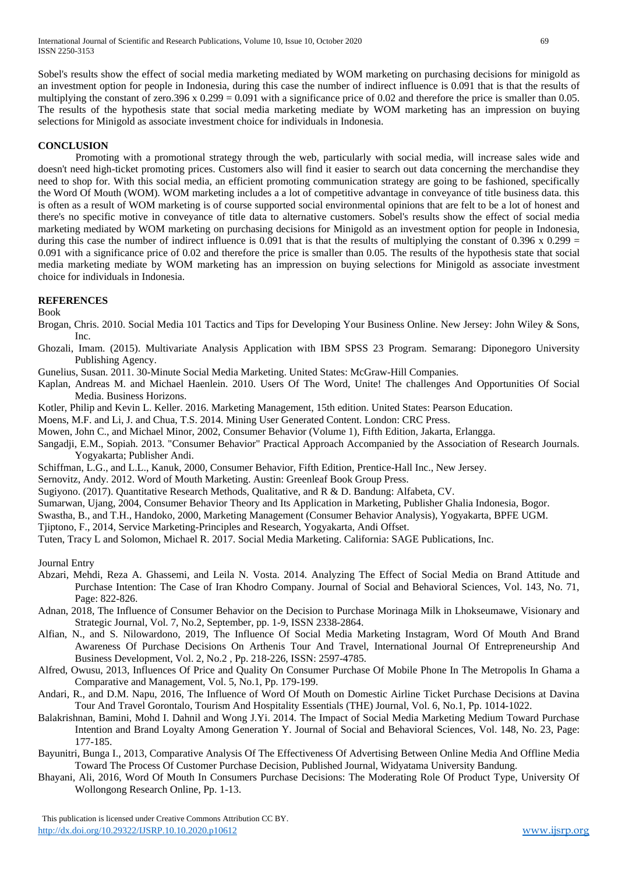Sobel's results show the effect of social media marketing mediated by WOM marketing on purchasing decisions for minigold as an investment option for people in Indonesia, during this case the number of indirect influence is 0.091 that is that the results of multiplying the constant of zero.396 x  $0.299 = 0.091$  with a significance price of 0.02 and therefore the price is smaller than 0.05. The results of the hypothesis state that social media marketing mediate by WOM marketing has an impression on buying selections for Minigold as associate investment choice for individuals in Indonesia.

## **CONCLUSION**

Promoting with a promotional strategy through the web, particularly with social media, will increase sales wide and doesn't need high-ticket promoting prices. Customers also will find it easier to search out data concerning the merchandise they need to shop for. With this social media, an efficient promoting communication strategy are going to be fashioned, specifically the Word Of Mouth (WOM). WOM marketing includes a a lot of competitive advantage in conveyance of title business data. this is often as a result of WOM marketing is of course supported social environmental opinions that are felt to be a lot of honest and there's no specific motive in conveyance of title data to alternative customers. Sobel's results show the effect of social media marketing mediated by WOM marketing on purchasing decisions for Minigold as an investment option for people in Indonesia, during this case the number of indirect influence is 0.091 that is that the results of multiplying the constant of 0.396 x 0.299 = 0.091 with a significance price of 0.02 and therefore the price is smaller than 0.05. The results of the hypothesis state that social media marketing mediate by WOM marketing has an impression on buying selections for Minigold as associate investment choice for individuals in Indonesia.

## **REFERENCES**

Book

- Brogan, Chris. 2010. Social Media 101 Tactics and Tips for Developing Your Business Online. New Jersey: John Wiley & Sons, Inc.
- Ghozali, Imam. (2015). Multivariate Analysis Application with IBM SPSS 23 Program. Semarang: Diponegoro University Publishing Agency.
- Gunelius, Susan. 2011. 30-Minute Social Media Marketing. United States: McGraw-Hill Companies.
- Kaplan, Andreas M. and Michael Haenlein. 2010. Users Of The Word, Unite! The challenges And Opportunities Of Social Media. Business Horizons.
- Kotler, Philip and Kevin L. Keller. 2016. Marketing Management, 15th edition. United States: Pearson Education.

Moens, M.F. and Li, J. and Chua, T.S. 2014. Mining User Generated Content. London: CRC Press.

- Mowen, John C., and Michael Minor, 2002, Consumer Behavior (Volume 1), Fifth Edition, Jakarta, Erlangga.
- Sangadji, E.M., Sopiah. 2013. "Consumer Behavior" Practical Approach Accompanied by the Association of Research Journals. Yogyakarta; Publisher Andi.
- Schiffman, L.G., and L.L., Kanuk, 2000, Consumer Behavior, Fifth Edition, Prentice-Hall Inc., New Jersey.

Sernovitz, Andy. 2012. Word of Mouth Marketing. Austin: Greenleaf Book Group Press.

- Sugiyono. (2017). Quantitative Research Methods, Qualitative, and R & D. Bandung: Alfabeta, CV.
- Sumarwan, Ujang, 2004, Consumer Behavior Theory and Its Application in Marketing, Publisher Ghalia Indonesia, Bogor.
- Swastha, B., and T.H., Handoko, 2000, Marketing Management (Consumer Behavior Analysis), Yogyakarta, BPFE UGM.
- Tjiptono, F., 2014, Service Marketing-Principles and Research, Yogyakarta, Andi Offset.
- Tuten, Tracy L and Solomon, Michael R. 2017. Social Media Marketing. California: SAGE Publications, Inc.

Journal Entry

- Abzari, Mehdi, Reza A. Ghassemi, and Leila N. Vosta. 2014. Analyzing The Effect of Social Media on Brand Attitude and Purchase Intention: The Case of Iran Khodro Company. Journal of Social and Behavioral Sciences, Vol. 143, No. 71, Page: 822-826.
- Adnan, 2018, The Influence of Consumer Behavior on the Decision to Purchase Morinaga Milk in Lhokseumawe, Visionary and Strategic Journal, Vol. 7, No.2, September, pp. 1-9, ISSN 2338-2864.
- Alfian, N., and S. Nilowardono, 2019, The Influence Of Social Media Marketing Instagram, Word Of Mouth And Brand Awareness Of Purchase Decisions On Arthenis Tour And Travel, International Journal Of Entrepreneurship And Business Development, Vol. 2, No.2 , Pp. 218-226, ISSN: 2597-4785.
- Alfred, Owusu, 2013, Influences Of Price and Quality On Consumer Purchase Of Mobile Phone In The Metropolis In Ghama a Comparative and Management, Vol. 5, No.1, Pp. 179-199.
- Andari, R., and D.M. Napu, 2016, The Influence of Word Of Mouth on Domestic Airline Ticket Purchase Decisions at Davina Tour And Travel Gorontalo, Tourism And Hospitality Essentials (THE) Journal, Vol. 6, No.1, Pp. 1014-1022.
- Balakrishnan, Bamini, Mohd I. Dahnil and Wong J.Yi. 2014. The Impact of Social Media Marketing Medium Toward Purchase Intention and Brand Loyalty Among Generation Y. Journal of Social and Behavioral Sciences, Vol. 148, No. 23, Page: 177-185.
- Bayunitri, Bunga I., 2013, Comparative Analysis Of The Effectiveness Of Advertising Between Online Media And Offline Media Toward The Process Of Customer Purchase Decision, Published Journal, Widyatama University Bandung.
- Bhayani, Ali, 2016, Word Of Mouth In Consumers Purchase Decisions: The Moderating Role Of Product Type, University Of Wollongong Research Online, Pp. 1-13.